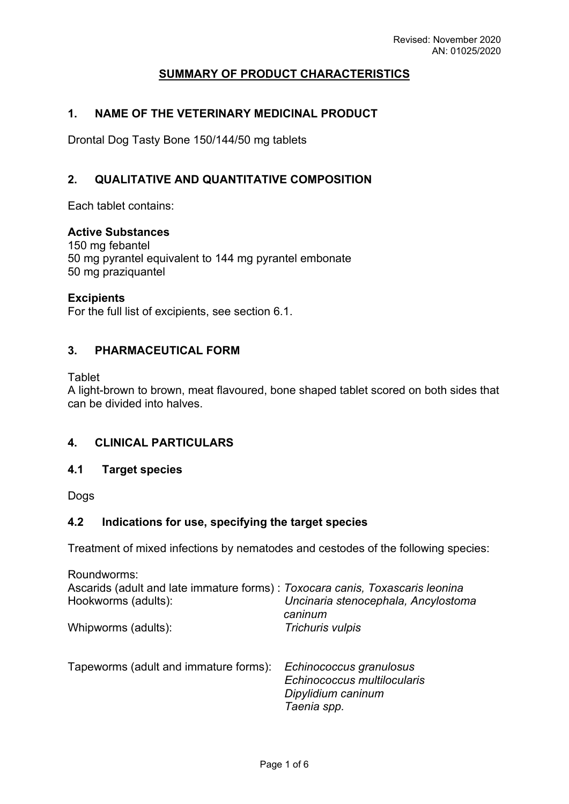# **SUMMARY OF PRODUCT CHARACTERISTICS**

### **1. NAME OF THE VETERINARY MEDICINAL PRODUCT**

Drontal Dog Tasty Bone 150/144/50 mg tablets

### **2. QUALITATIVE AND QUANTITATIVE COMPOSITION**

Each tablet contains:

### **Active Substances**

150 mg febantel 50 mg pyrantel equivalent to 144 mg pyrantel embonate 50 mg praziquantel

### **Excipients**

For the full list of excipients, see section 6.1.

## **3. PHARMACEUTICAL FORM**

**Tablet** 

A light-brown to brown, meat flavoured, bone shaped tablet scored on both sides that can be divided into halves.

### **4. CLINICAL PARTICULARS**

#### **4.1 Target species**

Dogs

## **4.2 Indications for use, specifying the target species**

Treatment of mixed infections by nematodes and cestodes of the following species:

| Roundworms:                                                                   |                                                                              |
|-------------------------------------------------------------------------------|------------------------------------------------------------------------------|
| Ascarids (adult and late immature forms) : Toxocara canis, Toxascaris leonina |                                                                              |
| Hookworms (adults):                                                           | Uncinaria stenocephala, Ancylostoma<br>caninum                               |
| Whipworms (adults):                                                           | Trichuris vulpis                                                             |
| Tapeworms (adult and immature forms):                                         | Echinococcus granulosus<br>Echinococcus multilocularis<br>Dipylidium caninum |
|                                                                               | Taenia spp.                                                                  |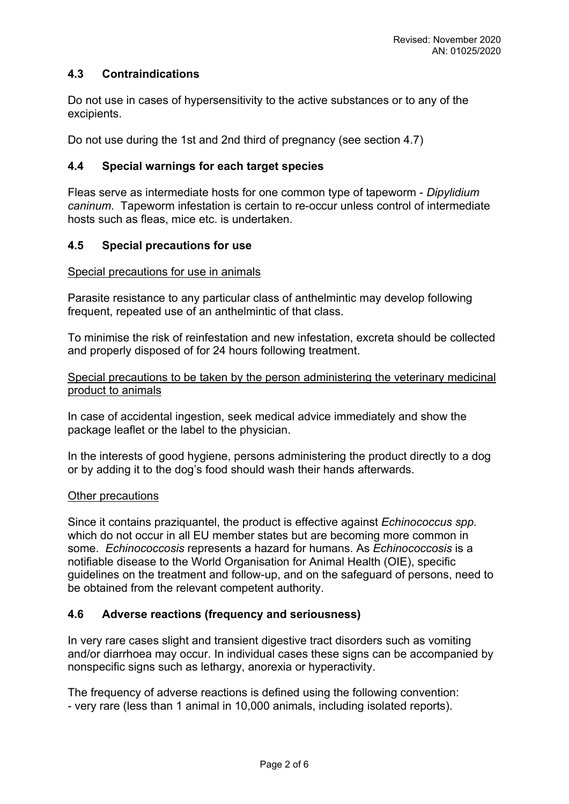### **4.3 Contraindications**

Do not use in cases of hypersensitivity to the active substances or to any of the excipients.

Do not use during the 1st and 2nd third of pregnancy (see section 4.7)

### **4.4 Special warnings for each target species**

Fleas serve as intermediate hosts for one common type of tapeworm - *Dipylidium caninum*. Tapeworm infestation is certain to re-occur unless control of intermediate hosts such as fleas, mice etc. is undertaken.

### **4.5 Special precautions for use**

#### Special precautions for use in animals

Parasite resistance to any particular class of anthelmintic may develop following frequent, repeated use of an anthelmintic of that class.

To minimise the risk of reinfestation and new infestation, excreta should be collected and properly disposed of for 24 hours following treatment.

Special precautions to be taken by the person administering the veterinary medicinal product to animals

In case of accidental ingestion, seek medical advice immediately and show the package leaflet or the label to the physician.

In the interests of good hygiene, persons administering the product directly to a dog or by adding it to the dog's food should wash their hands afterwards.

#### Other precautions

Since it contains praziquantel, the product is effective against *Echinococcus spp.* which do not occur in all EU member states but are becoming more common in some. *Echinococcosis* represents a hazard for humans. As *Echinococcosis* is a notifiable disease to the World Organisation for Animal Health (OIE), specific guidelines on the treatment and follow-up, and on the safeguard of persons, need to be obtained from the relevant competent authority.

### **4.6 Adverse reactions (frequency and seriousness)**

In very rare cases slight and transient digestive tract disorders such as vomiting and/or diarrhoea may occur. In individual cases these signs can be accompanied by nonspecific signs such as lethargy, anorexia or hyperactivity.

The frequency of adverse reactions is defined using the following convention: - very rare (less than 1 animal in 10,000 animals, including isolated reports).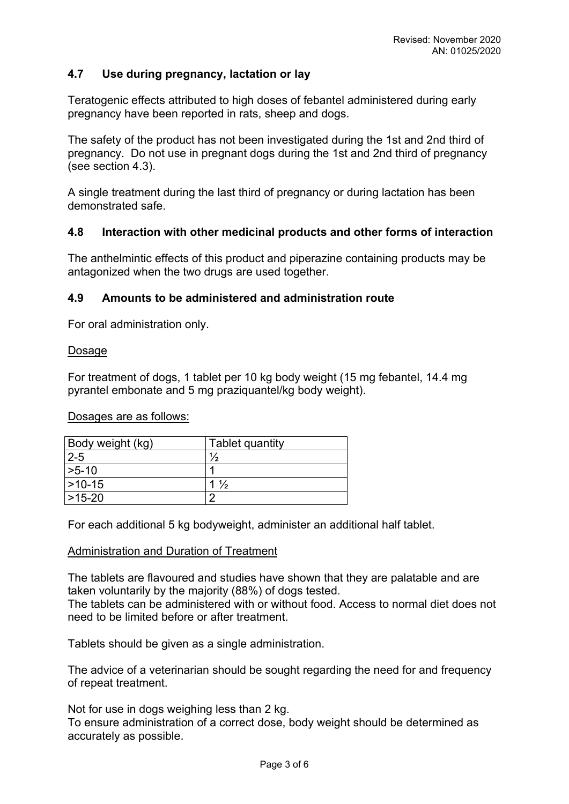## **4.7 Use during pregnancy, lactation or lay**

Teratogenic effects attributed to high doses of febantel administered during early pregnancy have been reported in rats, sheep and dogs.

The safety of the product has not been investigated during the 1st and 2nd third of pregnancy. Do not use in pregnant dogs during the 1st and 2nd third of pregnancy (see section 4.3).

A single treatment during the last third of pregnancy or during lactation has been demonstrated safe.

### **4.8 Interaction with other medicinal products and other forms of interaction**

The anthelmintic effects of this product and piperazine containing products may be antagonized when the two drugs are used together.

### **4.9 Amounts to be administered and administration route**

For oral administration only.

#### Dosage

For treatment of dogs, 1 tablet per 10 kg body weight (15 mg febantel, 14.4 mg pyrantel embonate and 5 mg praziquantel/kg body weight).

Dosages are as follows:

| Body weight (kg) | Tablet quantity |
|------------------|-----------------|
| $2 - 5$          | $\frac{1}{2}$   |
| $>5-10$          |                 |
| $ >10-15$        | $1\frac{1}{2}$  |
| 1>15-20          | ╭               |

For each additional 5 kg bodyweight, administer an additional half tablet.

#### Administration and Duration of Treatment

The tablets are flavoured and studies have shown that they are palatable and are taken voluntarily by the majority (88%) of dogs tested.

The tablets can be administered with or without food. Access to normal diet does not need to be limited before or after treatment.

Tablets should be given as a single administration.

The advice of a veterinarian should be sought regarding the need for and frequency of repeat treatment.

Not for use in dogs weighing less than 2 kg.

To ensure administration of a correct dose, body weight should be determined as accurately as possible.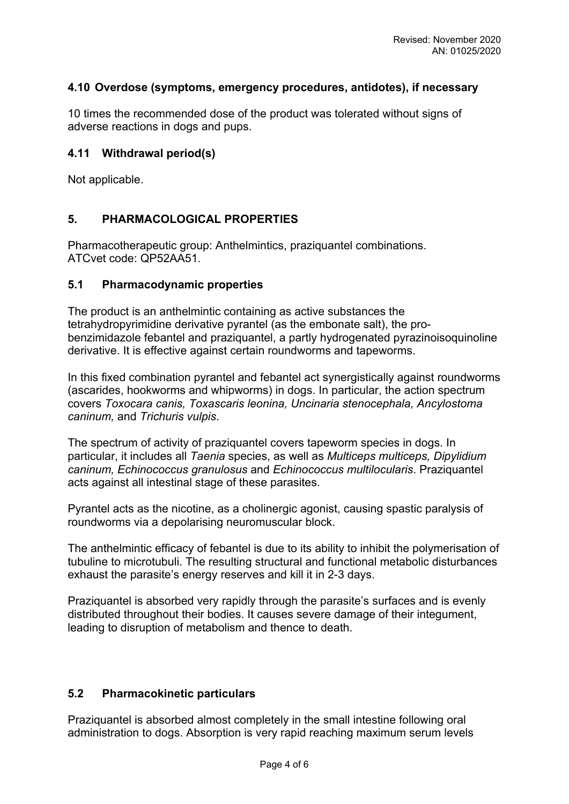## **4.10 Overdose (symptoms, emergency procedures, antidotes), if necessary**

10 times the recommended dose of the product was tolerated without signs of adverse reactions in dogs and pups.

### **4.11 Withdrawal period(s)**

Not applicable.

## **5. PHARMACOLOGICAL PROPERTIES**

Pharmacotherapeutic group: Anthelmintics, praziquantel combinations. ATCvet code: QP52AA51.

### **5.1 Pharmacodynamic properties**

The product is an anthelmintic containing as active substances the tetrahydropyrimidine derivative pyrantel (as the embonate salt), the probenzimidazole febantel and praziquantel, a partly hydrogenated pyrazinoisoquinoline derivative. It is effective against certain roundworms and tapeworms.

In this fixed combination pyrantel and febantel act synergistically against roundworms (ascarides, hookworms and whipworms) in dogs. In particular, the action spectrum covers *Toxocara canis, Toxascaris leonina, Uncinaria stenocephala, Ancylostoma caninum,* and *Trichuris vulpis*.

The spectrum of activity of praziquantel covers tapeworm species in dogs. In particular, it includes all *Taenia* species, as well as *Multiceps multiceps, Dipylidium caninum, Echinococcus granulosus* and *Echinococcus multilocularis*. Praziquantel acts against all intestinal stage of these parasites.

Pyrantel acts as the nicotine, as a cholinergic agonist, causing spastic paralysis of roundworms via a depolarising neuromuscular block.

The anthelmintic efficacy of febantel is due to its ability to inhibit the polymerisation of tubuline to microtubuli. The resulting structural and functional metabolic disturbances exhaust the parasite's energy reserves and kill it in 2-3 days.

Praziquantel is absorbed very rapidly through the parasite's surfaces and is evenly distributed throughout their bodies. It causes severe damage of their integument, leading to disruption of metabolism and thence to death.

### **5.2 Pharmacokinetic particulars**

Praziquantel is absorbed almost completely in the small intestine following oral administration to dogs. Absorption is very rapid reaching maximum serum levels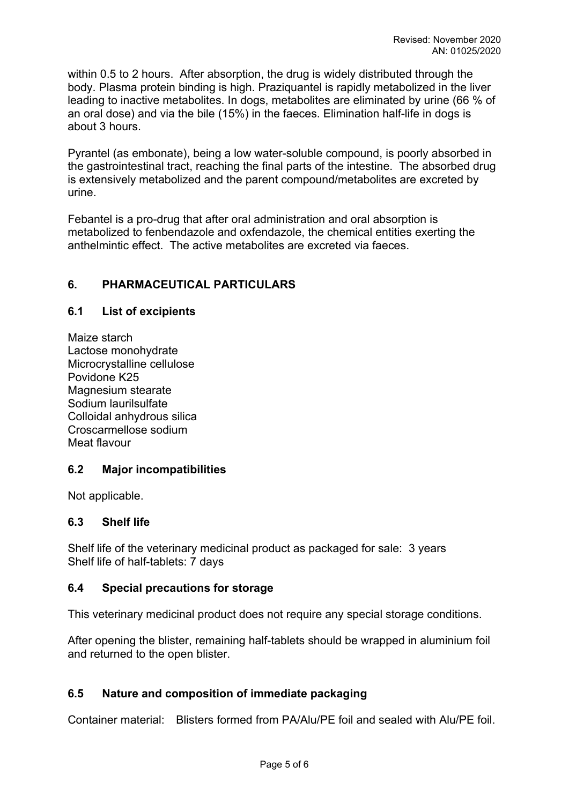within 0.5 to 2 hours. After absorption, the drug is widely distributed through the body. Plasma protein binding is high. Praziquantel is rapidly metabolized in the liver leading to inactive metabolites. In dogs, metabolites are eliminated by urine (66 % of an oral dose) and via the bile (15%) in the faeces. Elimination half-life in dogs is about 3 hours.

Pyrantel (as embonate), being a low water-soluble compound, is poorly absorbed in the gastrointestinal tract, reaching the final parts of the intestine. The absorbed drug is extensively metabolized and the parent compound/metabolites are excreted by urine.

Febantel is a pro-drug that after oral administration and oral absorption is metabolized to fenbendazole and oxfendazole, the chemical entities exerting the anthelmintic effect. The active metabolites are excreted via faeces.

## **6. PHARMACEUTICAL PARTICULARS**

### **6.1 List of excipients**

Maize starch Lactose monohydrate Microcrystalline cellulose Povidone K25 Magnesium stearate Sodium laurilsulfate Colloidal anhydrous silica Croscarmellose sodium Meat flavour

### **6.2 Major incompatibilities**

Not applicable.

### **6.3 Shelf life**

Shelf life of the veterinary medicinal product as packaged for sale: 3 years Shelf life of half-tablets: 7 days

### **6.4 Special precautions for storage**

This veterinary medicinal product does not require any special storage conditions.

After opening the blister, remaining half-tablets should be wrapped in aluminium foil and returned to the open blister.

### **6.5 Nature and composition of immediate packaging**

Container material: Blisters formed from PA/Alu/PE foil and sealed with Alu/PE foil.